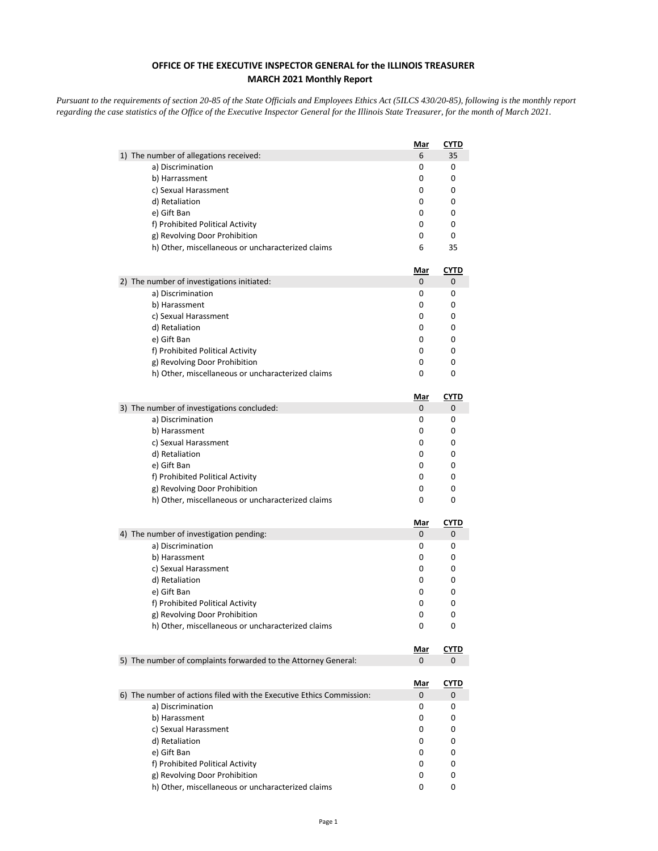## **OFFICE OF THE EXECUTIVE INSPECTOR GENERAL for the ILLINOIS TREASURER MARCH 2021 Monthly Report**

*Pursuant to the requirements of section 20-85 of the State Officials and Employees Ethics Act (5ILCS 430/20-85), following is the monthly report regarding the case statistics of the Office of the Executive Inspector General for the Illinois State Treasurer, for the month of March 2021.* 

|                                                                      | Mar             | <b>CYTD</b>      |
|----------------------------------------------------------------------|-----------------|------------------|
| 1) The number of allegations received:                               | 6               | 35               |
| a) Discrimination                                                    | 0               | 0                |
| b) Harrassment                                                       | 0               | 0                |
| c) Sexual Harassment                                                 | 0               | 0                |
| d) Retaliation                                                       | 0               | 0                |
| e) Gift Ban                                                          | 0               | 0                |
| f) Prohibited Political Activity                                     | 0               | 0                |
| g) Revolving Door Prohibition                                        | 0               | 0                |
| h) Other, miscellaneous or uncharacterized claims                    | 6               | 35               |
|                                                                      | <u>Mar</u>      | <u>CYTD</u>      |
| 2) The number of investigations initiated:                           | 0               | 0                |
| a) Discrimination                                                    | 0               | 0                |
| b) Harassment                                                        | 0               | 0                |
| c) Sexual Harassment                                                 | 0               | 0                |
| d) Retaliation                                                       | 0               | 0                |
| e) Gift Ban                                                          | 0               | 0                |
| f) Prohibited Political Activity                                     | 0               | 0                |
| g) Revolving Door Prohibition                                        | 0               | 0                |
| h) Other, miscellaneous or uncharacterized claims                    | 0               | 0                |
|                                                                      | <u>Mar</u>      | <b>CYTD</b>      |
| 3) The number of investigations concluded:                           | 0               | 0                |
| a) Discrimination                                                    | 0               | 0                |
| b) Harassment                                                        | 0               | 0                |
| c) Sexual Harassment                                                 | 0               | 0                |
| d) Retaliation                                                       | 0               | 0                |
| e) Gift Ban                                                          | 0               | 0                |
| f) Prohibited Political Activity                                     | 0               | 0                |
| g) Revolving Door Prohibition                                        | 0<br>0          | 0<br>0           |
| h) Other, miscellaneous or uncharacterized claims                    |                 |                  |
|                                                                      | <u>Mar</u>      | <b>CYTD</b>      |
| 4) The number of investigation pending:                              | 0               | 0                |
| a) Discrimination                                                    | 0               | 0                |
| b) Harassment                                                        | 0               | 0                |
| c) Sexual Harassment                                                 | 0               | 0                |
| d) Retaliation                                                       | 0               | 0                |
| e) Gift Ban                                                          | 0               | 0                |
| f) Prohibited Political Activity<br>g) Revolving Door Prohibition    | 0<br>0          | 0<br>0           |
| h) Other, miscellaneous or uncharacterized claims                    | 0               | 0                |
|                                                                      |                 |                  |
| 5) The number of complaints forwarded to the Attorney General:       | <u>Mar</u><br>0 | <b>CYTD</b><br>0 |
|                                                                      |                 |                  |
|                                                                      | <u>Mar</u>      | <u>CYTD</u>      |
| 6) The number of actions filed with the Executive Ethics Commission: | 0               | 0                |
| a) Discrimination                                                    | 0               | 0                |
| b) Harassment                                                        | 0               | 0                |
| c) Sexual Harassment                                                 | 0               | 0                |
| d) Retaliation                                                       | 0               | 0                |
| e) Gift Ban                                                          | 0               | 0                |
| f) Prohibited Political Activity                                     | 0               | 0                |
| g) Revolving Door Prohibition                                        | 0               | 0                |
| h) Other, miscellaneous or uncharacterized claims                    | 0               | 0                |